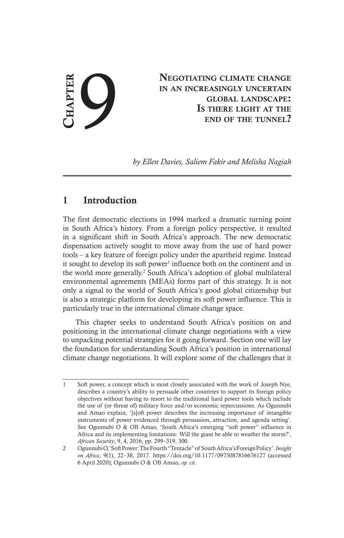NEGOTIATING CLIMATE CHANGE<br>
IN AN INCREASINGLY UNCERTAIN<br>
GLOBAL LANDSCAPE:<br>
IS THERE LIGHT AT THE<br>
END OF THE TUNNEL? in an increasingly uncertain global landscape: Is there light at the end of the tunnel?

*by Ellen Davies, Saliem Fakir and Melisha Nagiah*

# 1 Introduction

The first democratic elections in 1994 marked a dramatic turning point in South Africa's history. From a foreign policy perspective, it resulted in a significant shift in South Africa's approach. The new democratic dispensation actively sought to move away from the use of hard power tools – a key feature of foreign policy under the apartheid regime. Instead it sought to develop its soft power<sup>1</sup> influence both on the continent and in the world more generally.<sup>2</sup> South Africa's adoption of global multilateral environmental agreements (MEAs) forms part of this strategy. It is not only a signal to the world of South Africa's good global citizenship but is also a strategic platform for developing its soft power influence. This is particularly true in the international climate change space.

This chapter seeks to understand South Africa's position on and positioning in the international climate change negotiations with a view to unpacking potential strategies for it going forward. Section one will lay the foundation for understanding South Africa's position in international climate change negotiations. It will explore some of the challenges that it

<sup>1</sup> Soft power, a concept which is most closely associated with the work of Joseph Nye, describes a country's ability to persuade other countries to support its foreign policy objectives without having to resort to the traditional hard power tools which include the use of (or threat of) military force and/or economic repercussions. As Ogunnubi and Amao explain, '[s]oft power describes the increasing importance of intangible instruments of power evidenced through persuasion, attraction, and agenda setting'. See Ogunnubi O & OB Amao, 'South Africa's emerging "soft power" influence in Africa and its implementing limitations: Will the giant be able to weather the storm?', *African Security*, 9, 4, 2016, pp. 299–319, 300.

<sup>2</sup> Ogunnubi O, 'Soft Power: The Fourth "Tentacle" of South Africa's Foreign Policy'.*Insight on Africa*, 9(1), 22–38, 2017. https://doi.org/10.1177/0975087816676127 (accessed 6 April 2020); Ogunnubi O & OB Amao, *op. cit*.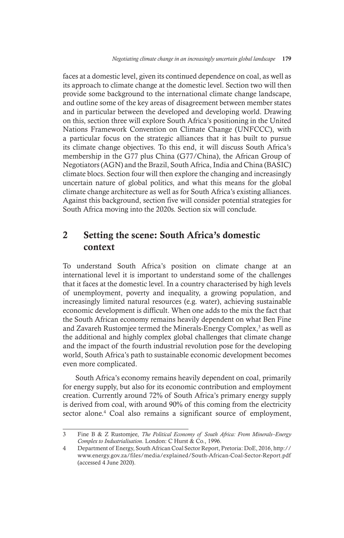faces at a domestic level, given its continued dependence on coal, as well as its approach to climate change at the domestic level. Section two will then provide some background to the international climate change landscape, and outline some of the key areas of disagreement between member states and in particular between the developed and developing world. Drawing on this, section three will explore South Africa's positioning in the United Nations Framework Convention on Climate Change (UNFCCC), with a particular focus on the strategic alliances that it has built to pursue its climate change objectives. To this end, it will discuss South Africa's membership in the G77 plus China (G77/China), the African Group of Negotiators (AGN) and the Brazil, South Africa, India and China (BASIC) climate blocs. Section four will then explore the changing and increasingly uncertain nature of global politics, and what this means for the global climate change architecture as well as for South Africa's existing alliances. Against this background, section five will consider potential strategies for South Africa moving into the 2020s. Section six will conclude.

# 2 Setting the scene: South Africa's domestic context

To understand South Africa's position on climate change at an international level it is important to understand some of the challenges that it faces at the domestic level. In a country characterised by high levels of unemployment, poverty and inequality, a growing population, and increasingly limited natural resources (e.g. water), achieving sustainable economic development is difficult. When one adds to the mix the fact that the South African economy remains heavily dependent on what Ben Fine and Zavareh Rustomjee termed the Minerals-Energy Complex,<sup>3</sup> as well as the additional and highly complex global challenges that climate change and the impact of the fourth industrial revolution pose for the developing world, South Africa's path to sustainable economic development becomes even more complicated.

South Africa's economy remains heavily dependent on coal, primarily for energy supply, but also for its economic contribution and employment creation. Currently around 72% of South Africa's primary energy supply is derived from coal, with around 90% of this coming from the electricity sector alone.<sup>4</sup> Coal also remains a significant source of employment,

<sup>3</sup> Fine B & Z Rustomjee, *The Political Economy of South Africa: From Minerals–Energy Complex to Industrialisation*. London: C Hurst & Co., 1996.

<sup>4</sup> Department of Energy, South African Coal Sector Report, Pretoria: DoE, 2016, http:// www.energy.gov.za/files/media/explained/South-African-Coal-Sector-Report.pdf (accessed 4 June 2020).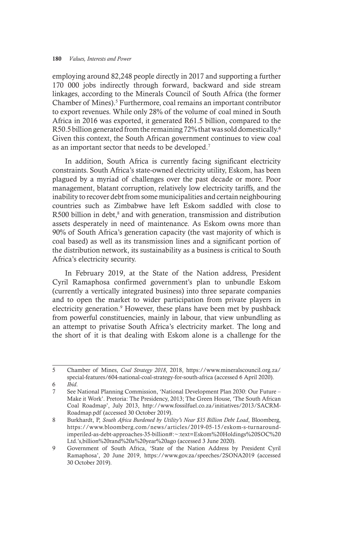employing around 82,248 people directly in 2017 and supporting a further 170 000 jobs indirectly through forward, backward and side stream linkages, according to the Minerals Council of South Africa (the former Chamber of Mines).<sup>5</sup> Furthermore, coal remains an important contributor to export revenues. While only 28% of the volume of coal mined in South Africa in 2016 was exported, it generated R61.5 billion, compared to the R50.5 billion generated from the remaining 72% that was sold domestically.<sup>6</sup> Given this context, the South African government continues to view coal as an important sector that needs to be developed.<sup>7</sup>

In addition, South Africa is currently facing significant electricity constraints. South Africa's state-owned electricity utility, Eskom, has been plagued by a myriad of challenges over the past decade or more. Poor management, blatant corruption, relatively low electricity tariffs, and the inability to recover debt from some municipalities and certain neighbouring countries such as Zimbabwe have left Eskom saddled with close to R500 billion in debt,<sup>8</sup> and with generation, transmission and distribution assets desperately in need of maintenance. As Eskom owns more than 90% of South Africa's generation capacity (the vast majority of which is coal based) as well as its transmission lines and a significant portion of the distribution network, its sustainability as a business is critical to South Africa's electricity security.

In February 2019, at the State of the Nation address, President Cyril Ramaphosa confirmed government's plan to unbundle Eskom (currently a vertically integrated business) into three separate companies and to open the market to wider participation from private players in electricity generation.<sup>9</sup> However, these plans have been met by pushback from powerful constituencies, mainly in labour, that view unbundling as an attempt to privatise South Africa's electricity market. The long and the short of it is that dealing with Eskom alone is a challenge for the

<sup>5</sup> Chamber of Mines, *Coal Strategy 2018*, 2018, https://www.mineralscouncil.org.za/ special-features/604-national-coal-strategy-for-south-africa (accessed 6 April 2020). 6 *Ibid*.

<sup>7</sup> See National Planning Commission, 'National Development Plan 2030: Our Future – Make it Work'. Pretoria: The Presidency, 2013; The Green House, 'The South African Coal Roadmap', July 2013, http://www.fossilfuel.co.za/initiatives/2013/SACRM-Roadmap.pdf (accessed 30 October 2019).

<sup>8</sup> Burkhardt, P, *South Africa Burdened by Utility's Near \$35 Billion Debt Load*, Bloomberg, https://www.bloomberg.com/news/articles/2019-05-15/eskom-s-turnaroundimperiled-as-debt-approaches-35-billion#:~:text=Eskom%20Holdings%20SOC%20 Ltd.'s,billion%20rand%20a%20year%20ago (accessed 3 June 2020).

<sup>9</sup> Government of South Africa, 'State of the Nation Address by President Cyril Ramaphosa', 20 June 2019, https://www.gov.za/speeches/2SONA2019 (accessed 30 October 2019).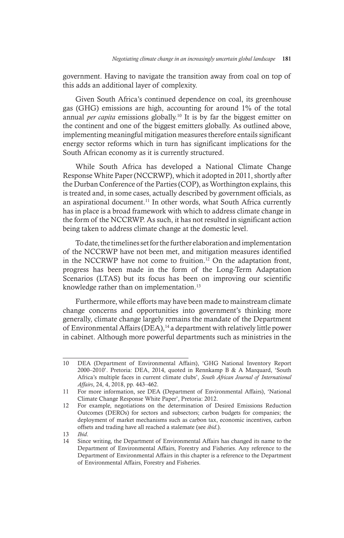government. Having to navigate the transition away from coal on top of this adds an additional layer of complexity.

Given South Africa's continued dependence on coal, its greenhouse gas (GHG) emissions are high, accounting for around 1% of the total annual *per capita* emissions globally.10 It is by far the biggest emitter on the continent and one of the biggest emitters globally. As outlined above, implementing meaningful mitigation measures therefore entails significant energy sector reforms which in turn has significant implications for the South African economy as it is currently structured.

While South Africa has developed a National Climate Change Response White Paper (NCCRWP), which it adopted in 2011, shortly after the Durban Conference of the Parties (COP), as Worthington explains, this is treated and, in some cases, actually described by government officials, as an aspirational document.<sup>11</sup> In other words, what South Africa currently has in place is a broad framework with which to address climate change in the form of the NCCRWP. As such, it has not resulted in significant action being taken to address climate change at the domestic level.

To date, the timelines set for the further elaboration and implementation of the NCCRWP have not been met, and mitigation measures identified in the NCCRWP have not come to fruition.<sup>12</sup> On the adaptation front, progress has been made in the form of the Long-Term Adaptation Scenarios (LTAS) but its focus has been on improving our scientific knowledge rather than on implementation.<sup>13</sup>

Furthermore, while efforts may have been made to mainstream climate change concerns and opportunities into government's thinking more generally, climate change largely remains the mandate of the Department of Environmental Affairs (DEA),<sup>14</sup> a department with relatively little power in cabinet. Although more powerful departments such as ministries in the

13 *Ibid*.

<sup>10</sup> DEA (Department of Environmental Affairs), 'GHG National Inventory Report 2000–2010'. Pretoria: DEA, 2014, quoted in Rennkamp B & A Marquard, 'South Africa's multiple faces in current climate clubs', *South African Journal of International Affairs*, 24, 4, 2018, pp. 443–462.

<sup>11</sup> For more information, see DEA (Department of Environmental Affairs), 'National Climate Change Response White Paper', Pretoria: 2012.

<sup>12</sup> For example, negotiations on the determination of Desired Emissions Reduction Outcomes (DEROs) for sectors and subsectors; carbon budgets for companies; the deployment of market mechanisms such as carbon tax, economic incentives, carbon offsets and trading have all reached a stalemate (see *ibid*.).

<sup>14</sup> Since writing, the Department of Environmental Affairs has changed its name to the Department of Environmental Affairs, Forestry and Fisheries. Any reference to the Department of Environmental Affairs in this chapter is a reference to the Department of Environmental Affairs, Forestry and Fisheries.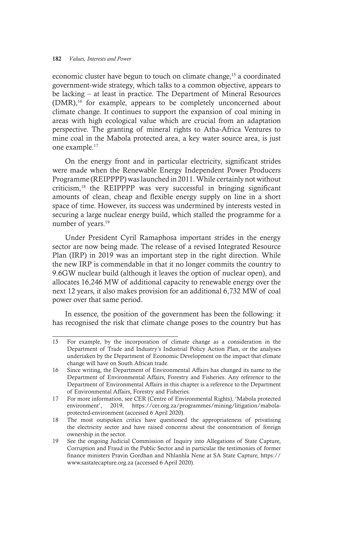economic cluster have begun to touch on climate change,15 a coordinated government-wide strategy, which talks to a common objective, appears to be lacking – at least in practice. The Department of Mineral Resources (DMR),16 for example, appears to be completely unconcerned about climate change. It continues to support the expansion of coal mining in areas with high ecological value which are crucial from an adaptation perspective. The granting of mineral rights to Atha-Africa Ventures to mine coal in the Mabola protected area, a key water source area, is just one example.<sup>17</sup>

On the energy front and in particular electricity, significant strides were made when the Renewable Energy Independent Power Producers Programme (REIPPPP) was launched in 2011. While certainly not without criticism,18 the REIPPPP was very successful in bringing significant amounts of clean, cheap and flexible energy supply on line in a short space of time. However, its success was undermined by interests vested in securing a large nuclear energy build, which stalled the programme for a number of years.<sup>19</sup>

Under President Cyril Ramaphosa important strides in the energy sector are now being made. The release of a revised Integrated Resource Plan (IRP) in 2019 was an important step in the right direction. While the new IRP is commendable in that it no longer commits the country to 9.6GW nuclear build (although it leaves the option of nuclear open), and allocates 16,246 MW of additional capacity to renewable energy over the next 12 years, it also makes provision for an additional 6,732 MW of coal power over that same period.

In essence, the position of the government has been the following: it has recognised the risk that climate change poses to the country but has

<sup>15</sup> For example, by the incorporation of climate change as a consideration in the Department of Trade and Industry's Industrial Policy Action Plan, or the analyses undertaken by the Department of Economic Development on the impact that climate change will have on South African trade.

<sup>16</sup> Since writing, the Department of Environmental Affairs has changed its name to the Department of Environmental Affairs, Forestry and Fisheries. Any reference to the Department of Environmental Affairs in this chapter is a reference to the Department of Environmental Affairs, Forestry and Fisheries.

<sup>17</sup> For more information, see CER (Centre of Environmental Rights), 'Mabola protected environment', 2019, https://cer.org.za/programmes/mining/litigation/mabolaprotected-environment (accessed 6 April 2020).

<sup>18</sup> The most outspoken critics have questioned the appropriateness of privatising the electricity sector and have raised concerns about the concentration of foreign ownership in the sector.

<sup>19</sup> See the ongoing Judicial Commission of Inquiry into Allegations of State Capture, Corruption and Fraud in the Public Sector and in particular the testimonies of former finance ministers Pravin Gordhan and Nhlanhla Nene at SA State Capture, https:// www.sastatecapture.org.za (accessed 6 April 2020).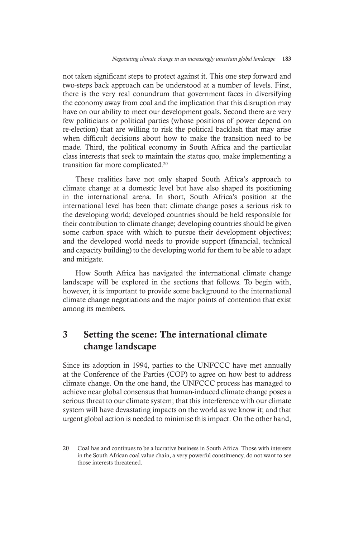not taken significant steps to protect against it. This one step forward and two-steps back approach can be understood at a number of levels. First, there is the very real conundrum that government faces in diversifying the economy away from coal and the implication that this disruption may have on our ability to meet our development goals. Second there are very few politicians or political parties (whose positions of power depend on re-election) that are willing to risk the political backlash that may arise when difficult decisions about how to make the transition need to be made. Third, the political economy in South Africa and the particular class interests that seek to maintain the status quo, make implementing a transition far more complicated.<sup>20</sup>

These realities have not only shaped South Africa's approach to climate change at a domestic level but have also shaped its positioning in the international arena. In short, South Africa's position at the international level has been that: climate change poses a serious risk to the developing world; developed countries should be held responsible for their contribution to climate change; developing countries should be given some carbon space with which to pursue their development objectives; and the developed world needs to provide support (financial, technical and capacity building) to the developing world for them to be able to adapt and mitigate.

How South Africa has navigated the international climate change landscape will be explored in the sections that follows. To begin with, however, it is important to provide some background to the international climate change negotiations and the major points of contention that exist among its members.

## 3 Setting the scene: The international climate change landscape

Since its adoption in 1994, parties to the UNFCCC have met annually at the Conference of the Parties (COP) to agree on how best to address climate change. On the one hand, the UNFCCC process has managed to achieve near global consensus that human-induced climate change poses a serious threat to our climate system; that this interference with our climate system will have devastating impacts on the world as we know it; and that urgent global action is needed to minimise this impact. On the other hand,

<sup>20</sup> Coal has and continues to be a lucrative business in South Africa. Those with interests in the South African coal value chain, a very powerful constituency, do not want to see those interests threatened.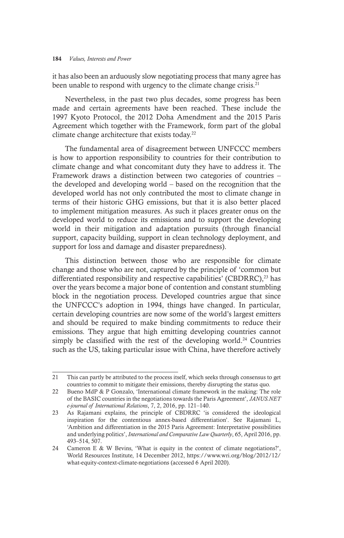it has also been an arduously slow negotiating process that many agree has been unable to respond with urgency to the climate change crisis.<sup>21</sup>

Nevertheless, in the past two plus decades, some progress has been made and certain agreements have been reached. These include the 1997 Kyoto Protocol, the 2012 Doha Amendment and the 2015 Paris Agreement which together with the Framework, form part of the global climate change architecture that exists today.22

The fundamental area of disagreement between UNFCCC members is how to apportion responsibility to countries for their contribution to climate change and what concomitant duty they have to address it. The Framework draws a distinction between two categories of countries – the developed and developing world – based on the recognition that the developed world has not only contributed the most to climate change in terms of their historic GHG emissions, but that it is also better placed to implement mitigation measures. As such it places greater onus on the developed world to reduce its emissions and to support the developing world in their mitigation and adaptation pursuits (through financial support, capacity building, support in clean technology deployment, and support for loss and damage and disaster preparedness).

This distinction between those who are responsible for climate change and those who are not, captured by the principle of 'common but differentiated responsibility and respective capabilities' (CBDRRC), $^{23}$  has over the years become a major bone of contention and constant stumbling block in the negotiation process. Developed countries argue that since the UNFCCC's adoption in 1994, things have changed. In particular, certain developing countries are now some of the world's largest emitters and should be required to make binding commitments to reduce their emissions. They argue that high emitting developing countries cannot simply be classified with the rest of the developing world.<sup>24</sup> Countries such as the US, taking particular issue with China, have therefore actively

<sup>21</sup> This can partly be attributed to the process itself, which seeks through consensus to get countries to commit to mitigate their emissions, thereby disrupting the status quo.

<sup>22</sup> Bueno MdP & P Gonzalo, 'International climate framework in the making: The role of the BASIC countries in the negotiations towards the Paris Agreement', *JANUS.NET e-journal of International Relations*, 7, 2, 2016, pp. 121–140.

<sup>23</sup> As Rajamani explains, the principle of CBDRRC 'is considered the ideological inspiration for the contentious annex-based differentiation'. See Rajamani L, 'Ambition and differentiation in the 2015 Paris Agreement: Interpretative possibilities and underlying politics', *International and Comparative Law Quarterly*, 65, April 2016, pp. 493–514, 507.

<sup>24</sup> Cameron E & W Bevins, 'What is equity in the context of climate negotiations?', World Resources Institute, 14 December 2012, https://www.wri.org/blog/2012/12/ what-equity-context-climate-negotiations (accessed 6 April 2020).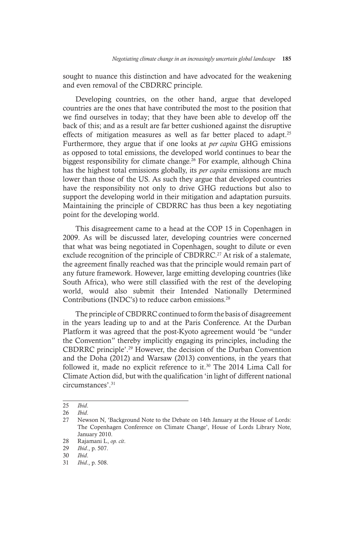sought to nuance this distinction and have advocated for the weakening and even removal of the CBDRRC principle.

Developing countries, on the other hand, argue that developed countries are the ones that have contributed the most to the position that we find ourselves in today; that they have been able to develop off the back of this; and as a result are far better cushioned against the disruptive effects of mitigation measures as well as far better placed to adapt.<sup>25</sup> Furthermore, they argue that if one looks at *per capita* GHG emissions as opposed to total emissions, the developed world continues to bear the biggest responsibility for climate change.<sup>26</sup> For example, although China has the highest total emissions globally, its *per capita* emissions are much lower than those of the US. As such they argue that developed countries have the responsibility not only to drive GHG reductions but also to support the developing world in their mitigation and adaptation pursuits. Maintaining the principle of CBDRRC has thus been a key negotiating point for the developing world.

This disagreement came to a head at the COP 15 in Copenhagen in 2009. As will be discussed later, developing countries were concerned that what was being negotiated in Copenhagen, sought to dilute or even exclude recognition of the principle of CBDRRC.<sup>27</sup> At risk of a stalemate, the agreement finally reached was that the principle would remain part of any future framework. However, large emitting developing countries (like South Africa), who were still classified with the rest of the developing world, would also submit their Intended Nationally Determined Contributions (INDC's) to reduce carbon emissions.28

The principle of CBDRRC continued to form the basis of disagreement in the years leading up to and at the Paris Conference. At the Durban Platform it was agreed that the post-Kyoto agreement would 'be "under the Convention" thereby implicitly engaging its principles, including the CBDRRC principle'.29 However, the decision of the Durban Convention and the Doha (2012) and Warsaw (2013) conventions, in the years that followed it, made no explicit reference to it.<sup>30</sup> The 2014 Lima Call for Climate Action did, but with the qualification 'in light of different national circumstances'.31

<sup>25</sup> *Ibid*. 26 *Ibid*.

<sup>27</sup> Newson N, 'Background Note to the Debate on 14th January at the House of Lords: The Copenhagen Conference on Climate Change', House of Lords Library Note, January 2010.

<sup>28</sup> Rajamani L, *op. cit*.

<sup>29</sup> *Ibid*., p. 507.

<sup>30</sup> *Ibid*.

<sup>31</sup> *Ibid*., p. 508.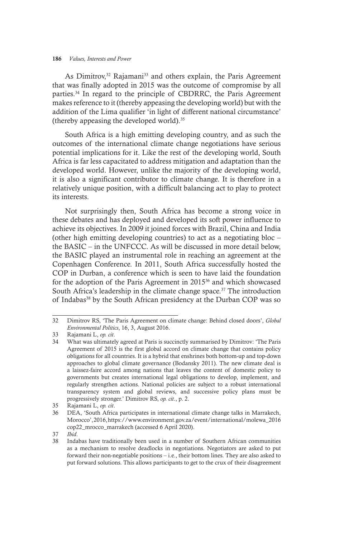As Dimitrov,<sup>32</sup> Rajamani<sup>33</sup> and others explain, the Paris Agreement that was finally adopted in 2015 was the outcome of compromise by all parties.34 In regard to the principle of CBDRRC, the Paris Agreement makes reference to it (thereby appeasing the developing world) but with the addition of the Lima qualifier 'in light of different national circumstance' (thereby appeasing the developed world).35

South Africa is a high emitting developing country, and as such the outcomes of the international climate change negotiations have serious potential implications for it. Like the rest of the developing world, South Africa is far less capacitated to address mitigation and adaptation than the developed world. However, unlike the majority of the developing world, it is also a significant contributor to climate change. It is therefore in a relatively unique position, with a difficult balancing act to play to protect its interests.

Not surprisingly then, South Africa has become a strong voice in these debates and has deployed and developed its soft power influence to achieve its objectives. In 2009 it joined forces with Brazil, China and India (other high emitting developing countries) to act as a negotiating bloc – the BASIC – in the UNFCCC. As will be discussed in more detail below, the BASIC played an instrumental role in reaching an agreement at the Copenhagen Conference. In 2011, South Africa successfully hosted the COP in Durban, a conference which is seen to have laid the foundation for the adoption of the Paris Agreement in 201536 and which showcased South Africa's leadership in the climate change space.<sup>37</sup> The introduction of Indabas<sup>38</sup> by the South African presidency at the Durban COP was so

<sup>32</sup> Dimitrov RS, 'The Paris Agreement on climate change: Behind closed doors', *Global Environmental Politics*, 16, 3, August 2016.

<sup>33</sup> Rajamani L, *op. cit*.

<sup>34</sup> What was ultimately agreed at Paris is succinctly summarised by Dimitrov: 'The Paris Agreement of 2015 is the first global accord on climate change that contains policy obligations for all countries. It is a hybrid that enshrines both bottom-up and top-down approaches to global climate governance (Bodansky 2011). The new climate deal is a laissez-faire accord among nations that leaves the content of domestic policy to governments but creates international legal obligations to develop, implement, and regularly strengthen actions. National policies are subject to a robust international transparency system and global reviews, and successive policy plans must be progressively stronger.' Dimitrov RS, *op. cit*., p. 2.

<sup>35</sup> Rajamani L, *op. cit*.

<sup>36</sup> DEA, 'South Africa participates in international climate change talks in Marrakech, Morocco', 2016, https://www.environment.gov.za/event/international/molewa\_2016 cop22\_mrocco\_marrakech (accessed 6 April 2020).

<sup>37</sup> *Ibid*.

<sup>38</sup> Indabas have traditionally been used in a number of Southern African communities as a mechanism to resolve deadlocks in negotiations. Negotiators are asked to put forward their non-negotiable positions – i.e., their bottom lines. They are also asked to put forward solutions. This allows participants to get to the crux of their disagreement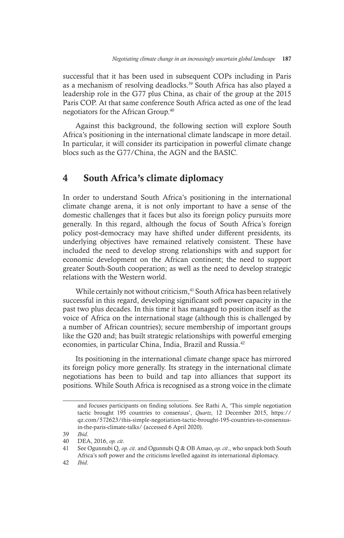successful that it has been used in subsequent COPs including in Paris as a mechanism of resolving deadlocks.<sup>39</sup> South Africa has also played a leadership role in the G77 plus China, as chair of the group at the 2015 Paris COP. At that same conference South Africa acted as one of the lead negotiators for the African Group.40

Against this background, the following section will explore South Africa's positioning in the international climate landscape in more detail. In particular, it will consider its participation in powerful climate change blocs such as the G77/China, the AGN and the BASIC.

### 4 South Africa's climate diplomacy

In order to understand South Africa's positioning in the international climate change arena, it is not only important to have a sense of the domestic challenges that it faces but also its foreign policy pursuits more generally. In this regard, although the focus of South Africa's foreign policy post-democracy may have shifted under different presidents, its underlying objectives have remained relatively consistent. These have included the need to develop strong relationships with and support for economic development on the African continent; the need to support greater South-South cooperation; as well as the need to develop strategic relations with the Western world.

While certainly not without criticism,<sup>41</sup> South Africa has been relatively successful in this regard, developing significant soft power capacity in the past two plus decades. In this time it has managed to position itself as the voice of Africa on the international stage (although this is challenged by a number of African countries); secure membership of important groups like the G20 and; has built strategic relationships with powerful emerging economies, in particular China, India, Brazil and Russia.<sup>42</sup>

Its positioning in the international climate change space has mirrored its foreign policy more generally. Its strategy in the international climate negotiations has been to build and tap into alliances that support its positions. While South Africa is recognised as a strong voice in the climate

and focuses participants on finding solutions. See Rathi A, 'This simple negotiation tactic brought 195 countries to consensus', *Quartz*, 12 December 2015, https:// qz.com/572623/this-simple-negotiation-tactic-brought-195-countries-to-consensusin-the-paris-climate-talks/ (accessed 6 April 2020).

<sup>39</sup> *Ibid*.

<sup>40</sup> DEA, 2016, *op. cit*.

<sup>41</sup> See Ogunnubi Q, *op. cit*. and Ogunnubi Q & OB Amao, *op. cit*., who unpack both South Africa's soft power and the criticisms levelled against its international diplomacy.

<sup>42</sup> *Ibid*.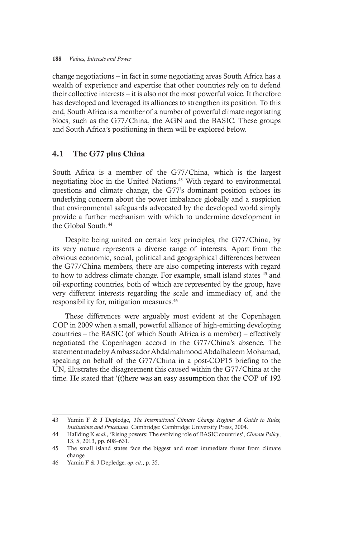change negotiations – in fact in some negotiating areas South Africa has a wealth of experience and expertise that other countries rely on to defend their collective interests – it is also not the most powerful voice. It therefore has developed and leveraged its alliances to strengthen its position. To this end, South Africa is a member of a number of powerful climate negotiating blocs, such as the G77/China, the AGN and the BASIC. These groups and South Africa's positioning in them will be explored below.

### 4.1 The G77 plus China

South Africa is a member of the G77/China, which is the largest negotiating bloc in the United Nations.43 With regard to environmental questions and climate change, the G77's dominant position echoes its underlying concern about the power imbalance globally and a suspicion that environmental safeguards advocated by the developed world simply provide a further mechanism with which to undermine development in the Global South.44

Despite being united on certain key principles, the G77/China, by its very nature represents a diverse range of interests. Apart from the obvious economic, social, political and geographical differences between the G77/China members, there are also competing interests with regard to how to address climate change. For example, small island states 45 and oil-exporting countries, both of which are represented by the group, have very different interests regarding the scale and immediacy of, and the responsibility for, mitigation measures.46

These differences were arguably most evident at the Copenhagen COP in 2009 when a small, powerful alliance of high-emitting developing countries – the BASIC (of which South Africa is a member) – effectively negotiated the Copenhagen accord in the G77/China's absence. The statement made by Ambassador Abdalmahmood Abdalhaleem Mohamad, speaking on behalf of the G77/China in a post-COP15 briefing to the UN, illustrates the disagreement this caused within the G77/China at the time. He stated that '(t)here was an easy assumption that the COP of 192

<sup>43</sup> Yamin F & J Depledge, *The International Climate Change Regime: A Guide to Rules, Institutions and Procedures*. Cambridge: Cambridge University Press, 2004.

<sup>44</sup> Hallding K *et al.*, 'Rising powers: The evolving role of BASIC countries', *Climate Policy*, 13, 5, 2013, pp. 608–631.

<sup>45</sup> The small island states face the biggest and most immediate threat from climate change.

<sup>46</sup> Yamin F & J Depledge, *op. cit*., p. 35.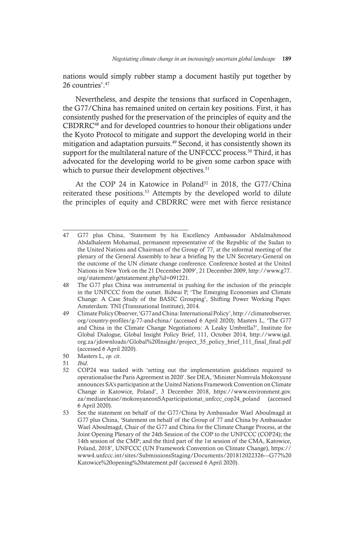nations would simply rubber stamp a document hastily put together by 26 countries'  $47$ 

Nevertheless, and despite the tensions that surfaced in Copenhagen, the G77/China has remained united on certain key positions. First, it has consistently pushed for the preservation of the principles of equity and the CBDRRC48 and for developed countries to honour their obligations under the Kyoto Protocol to mitigate and support the developing world in their mitigation and adaptation pursuits.<sup>49</sup> Second, it has consistently shown its support for the multilateral nature of the UNFCCC process.<sup>50</sup> Third, it has advocated for the developing world to be given some carbon space with which to pursue their development objectives.<sup>51</sup>

At the COP 24 in Katowice in Poland<sup>52</sup> in 2018, the G77/China reiterated these positions.53 Attempts by the developed world to dilute the principles of equity and CBDRRC were met with fierce resistance

<sup>47</sup> G77 plus China, 'Statement by his Excellency Ambassador Abdalmahmood Abdalhaleem Mohamad, permanent representative of the Republic of the Sudan to the United Nations and Chairman of the Group of 77, at the informal meeting of the plenary of the General Assembly to hear a briefing by the UN Secretary-General on the outcome of the UN climate change conference. Conference hosted at the United Nations in New York on the 21 December 2009', 21 December 2009, http://www.g77. org/statement/getstatement.php?id=091221.

<sup>48</sup> The G77 plus China was instrumental in pushing for the inclusion of the principle in the UNFCCC from the outset. Bidwai P, 'The Emerging Economies and Climate Change: A Case Study of the BASIC Grouping', Shifting Power Working Paper. Amsterdam: TNI (Transnational Institute), 2014.

<sup>49</sup> Climate Policy Observer, 'G77 and China: International Policy', http://climateobserver. org/country-profiles/g-77-and-china/ (accessed 6 April 2020); Masters L, 'The G77 and China in the Climate Change Negotiations: A Leaky Umbrella?', Institute for Global Dialogue, Global Insight Policy Brief, 111, October 2014, http://www.igd. org.za/jdownloads/Global%20Insight/project\_35\_policy\_brief\_111\_final\_final.pdf (accessed 6 April 2020).

<sup>50</sup> Masters L, *op. cit*.

<sup>51</sup> *Ibid*.

<sup>52</sup> COP24 was tasked with 'setting out the implementation guidelines required to operationalise the Paris Agreement in 2020'. See DEA, 'Minister Nomvula Mokonyane announces SA's participation at the United Nations Framework Convention on Climate Change in Katowice, Poland', 3 December 2018, https://www.environment.gov. za/mediarelease/mokonyaneonSAparticipationat\_unfccc\_cop24\_poland (accessed 6 April 2020).

<sup>53</sup> See the statement on behalf of the G77/China by Ambassador Wael Aboulmagd at G77 plus China, 'Statement on behalf of the Group of 77 and China by Ambassador Wael Aboulmagd, Chair of the G77 and China for the Climate Change Process, at the Joint Opening Plenary of the 24th Session of the COP to the UNFCCC (COP24); the 14th session of the CMP; and the third part of the 1st session of the CMA, Katowice, Poland, 2018', UNFCCC (UN Framework Convention on Climate Change), https:// www4.unfccc.int/sites/SubmissionsStaging/Documents/201812022326---G77%20 Katowice%20opening%20statement.pdf (accessed 6 April 2020).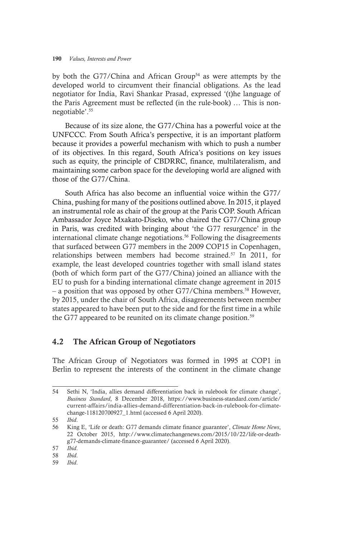by both the G77/China and African Group<sup>54</sup> as were attempts by the developed world to circumvent their financial obligations. As the lead negotiator for India, Ravi Shankar Prasad, expressed '(t)he language of the Paris Agreement must be reflected (in the rule-book) … This is nonnegotiable'.55

Because of its size alone, the G77/China has a powerful voice at the UNFCCC. From South Africa's perspective, it is an important platform because it provides a powerful mechanism with which to push a number of its objectives. In this regard, South Africa's positions on key issues such as equity, the principle of CBDRRC, finance, multilateralism, and maintaining some carbon space for the developing world are aligned with those of the G77/China.

South Africa has also become an influential voice within the G77/ China, pushing for many of the positions outlined above. In 2015, it played an instrumental role as chair of the group at the Paris COP. South African Ambassador Joyce Mxakato-Diseko, who chaired the G77/China group in Paris, was credited with bringing about 'the G77 resurgence' in the international climate change negotiations.56 Following the disagreements that surfaced between G77 members in the 2009 COP15 in Copenhagen, relationships between members had become strained.57 In 2011, for example, the least developed countries together with small island states (both of which form part of the G77/China) joined an alliance with the EU to push for a binding international climate change agreement in 2015 – a position that was opposed by other G77/China members.58 However, by 2015, under the chair of South Africa, disagreements between member states appeared to have been put to the side and for the first time in a while the G77 appeared to be reunited on its climate change position.<sup>59</sup>

### 4.2 The African Group of Negotiators

The African Group of Negotiators was formed in 1995 at COP1 in Berlin to represent the interests of the continent in the climate change

<sup>54</sup> Sethi N, 'India, allies demand differentiation back in rulebook for climate change', *Business Standard*, 8 December 2018, https://www.business-standard.com/article/ current-affairs/india-allies-demand-differentiation-back-in-rulebook-for-climatechange-118120700927\_1.html (accessed 6 April 2020).

<sup>55</sup> *Ibid*.

<sup>56</sup> King E, 'Life or death: G77 demands climate finance guarantee', *Climate Home News*, 22 October 2015, http://www.climatechangenews.com/2015/10/22/life-or-deathg77-demands-climate-finance-guarantee/ (accessed 6 April 2020).

<sup>57</sup> *Ibid*.

<sup>58</sup> *Ibid*.

<sup>59</sup> *Ibid*.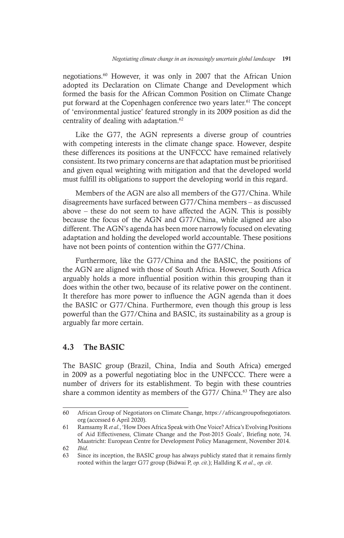negotiations.60 However, it was only in 2007 that the African Union adopted its Declaration on Climate Change and Development which formed the basis for the African Common Position on Climate Change put forward at the Copenhagen conference two years later.<sup>61</sup> The concept of 'environmental justice' featured strongly in its 2009 position as did the centrality of dealing with adaptation.<sup>62</sup>

Like the G77, the AGN represents a diverse group of countries with competing interests in the climate change space. However, despite these differences its positions at the UNFCCC have remained relatively consistent. Its two primary concerns are that adaptation must be prioritised and given equal weighting with mitigation and that the developed world must fulfill its obligations to support the developing world in this regard.

Members of the AGN are also all members of the G77/China. While disagreements have surfaced between G77/China members – as discussed above – these do not seem to have affected the AGN. This is possibly because the focus of the AGN and G77/China, while aligned are also different. The AGN's agenda has been more narrowly focused on elevating adaptation and holding the developed world accountable. These positions have not been points of contention within the G77/China.

Furthermore, like the G77/China and the BASIC, the positions of the AGN are aligned with those of South Africa. However, South Africa arguably holds a more influential position within this grouping than it does within the other two, because of its relative power on the continent. It therefore has more power to influence the AGN agenda than it does the BASIC or G77/China. Furthermore, even though this group is less powerful than the G77/China and BASIC, its sustainability as a group is arguably far more certain.

### 4.3 The BASIC

The BASIC group (Brazil, China, India and South Africa) emerged in 2009 as a powerful negotiating bloc in the UNFCCC. There were a number of drivers for its establishment. To begin with these countries share a common identity as members of the G77/ China.<sup>63</sup> They are also

<sup>60</sup> African Group of Negotiators on Climate Change, https://africangroupofnegotiators. org (accessed 6 April 2020).

<sup>61</sup> Ramsamy R *et al.*, 'How Does Africa Speak with One Voice? Africa's Evolving Positions of Aid Effectiveness, Climate Change and the Post-2015 Goals', Briefing note, 74. Maastricht: European Centre for Development Policy Management, November 2014.

<sup>62</sup> *Ibid*.

<sup>63</sup> Since its inception, the BASIC group has always publicly stated that it remains firmly rooted within the larger G77 group (Bidwai P, *op. cit*.); Hallding K *et al*., *op. cit*.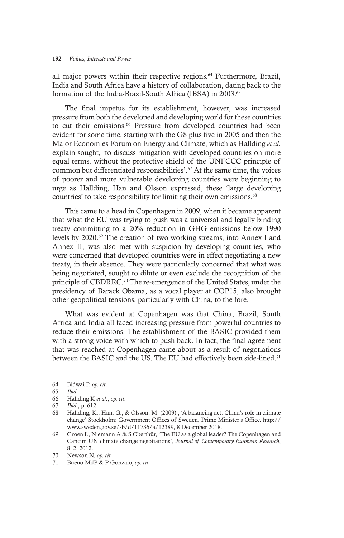all major powers within their respective regions.<sup>64</sup> Furthermore, Brazil, India and South Africa have a history of collaboration, dating back to the formation of the India-Brazil-South Africa (IBSA) in 2003.<sup>65</sup>

The final impetus for its establishment, however, was increased pressure from both the developed and developing world for these countries to cut their emissions.<sup>66</sup> Pressure from developed countries had been evident for some time, starting with the G8 plus five in 2005 and then the Major Economies Forum on Energy and Climate, which as Hallding *et al*. explain sought, 'to discuss mitigation with developed countries on more equal terms, without the protective shield of the UNFCCC principle of common but differentiated responsibilities'.67 At the same time, the voices of poorer and more vulnerable developing countries were beginning to urge as Hallding, Han and Olsson expressed, these 'large developing countries' to take responsibility for limiting their own emissions.<sup>68</sup>

This came to a head in Copenhagen in 2009, when it became apparent that what the EU was trying to push was a universal and legally binding treaty committing to a 20% reduction in GHG emissions below 1990 levels by 2020.69 The creation of two working streams, into Annex I and Annex II, was also met with suspicion by developing countries, who were concerned that developed countries were in effect negotiating a new treaty, in their absence. They were particularly concerned that what was being negotiated, sought to dilute or even exclude the recognition of the principle of CBDRRC.70 The re-emergence of the United States, under the presidency of Barack Obama, as a vocal player at COP15, also brought other geopolitical tensions, particularly with China, to the fore.

What was evident at Copenhagen was that China, Brazil, South Africa and India all faced increasing pressure from powerful countries to reduce their emissions. The establishment of the BASIC provided them with a strong voice with which to push back. In fact, the final agreement that was reached at Copenhagen came about as a result of negotiations between the BASIC and the US. The EU had effectively been side-lined.<sup>71</sup>

<sup>64</sup> Bidwai P, *op. cit*.

<sup>65</sup> *Ibid*.

<sup>66</sup> Hallding K *et al*., *op. cit*.

<sup>67</sup> *Ibid*., p. 612.

<sup>68</sup> Hallding, K., Han, G., & Olsson, M. (2009)., 'A balancing act: China's role in climate change' Stockholm: Government Offices of Sweden, Prime Minister's Office. http:// www.sweden.gov.se/sb/d/11736/a/12389, 8 December 2018.

<sup>69</sup> Groen L, Niemann A & S Oberthür, 'The EU as a global leader? The Copenhagen and Cancun UN climate change negotiations', *Journal of Contemporary European Research*, 8, 2, 2012.

<sup>70</sup> Newson N, *op. cit.*

<sup>71</sup> Bueno MdP & P Gonzalo, *op. cit*.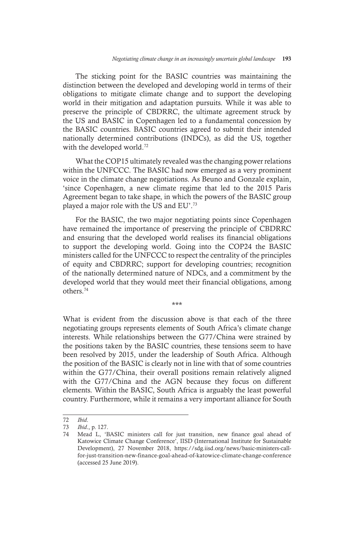The sticking point for the BASIC countries was maintaining the distinction between the developed and developing world in terms of their obligations to mitigate climate change and to support the developing world in their mitigation and adaptation pursuits. While it was able to preserve the principle of CBDRRC, the ultimate agreement struck by the US and BASIC in Copenhagen led to a fundamental concession by the BASIC countries. BASIC countries agreed to submit their intended nationally determined contributions (INDCs), as did the US, together with the developed world.<sup>72</sup>

What the COP15 ultimately revealed was the changing power relations within the UNFCCC. The BASIC had now emerged as a very prominent voice in the climate change negotiations. As Beuno and Gonzale explain, 'since Copenhagen, a new climate regime that led to the 2015 Paris Agreement began to take shape, in which the powers of the BASIC group played a major role with the US and EU'.73

For the BASIC, the two major negotiating points since Copenhagen have remained the importance of preserving the principle of CBDRRC and ensuring that the developed world realises its financial obligations to support the developing world. Going into the COP24 the BASIC ministers called for the UNFCCC to respect the centrality of the principles of equity and CBDRRC; support for developing countries; recognition of the nationally determined nature of NDCs, and a commitment by the developed world that they would meet their financial obligations, among others.74

\*\*\*

What is evident from the discussion above is that each of the three negotiating groups represents elements of South Africa's climate change interests. While relationships between the G77/China were strained by the positions taken by the BASIC countries, these tensions seem to have been resolved by 2015, under the leadership of South Africa. Although the position of the BASIC is clearly not in line with that of some countries within the G77/China, their overall positions remain relatively aligned with the G77/China and the AGN because they focus on different elements. Within the BASIC, South Africa is arguably the least powerful country. Furthermore, while it remains a very important alliance for South

<sup>72</sup> *Ibid*.

<sup>73</sup> *Ibid*., p. 127.

Mead L, 'BASIC ministers call for just transition, new finance goal ahead of Katowice Climate Change Conference', IISD (International Institute for Sustainable Development), 27 November 2018, https://sdg.iisd.org/news/basic-ministers-callfor-just-transition-new-finance-goal-ahead-of-katowice-climate-change-conference (accessed 25 June 2019).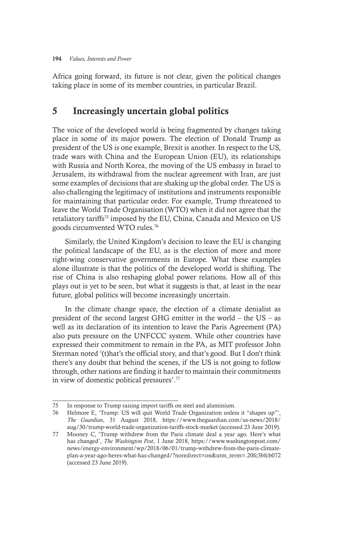Africa going forward, its future is not clear, given the political changes taking place in some of its member countries, in particular Brazil.

### 5 Increasingly uncertain global politics

The voice of the developed world is being fragmented by changes taking place in some of its major powers. The election of Donald Trump as president of the US is one example, Brexit is another. In respect to the US, trade wars with China and the European Union (EU), its relationships with Russia and North Korea, the moving of the US embassy in Israel to Jerusalem, its withdrawal from the nuclear agreement with Iran, are just some examples of decisions that are shaking up the global order. The US is also challenging the legitimacy of institutions and instruments responsible for maintaining that particular order. For example, Trump threatened to leave the World Trade Organisation (WTO) when it did not agree that the retaliatory tariffs<sup>75</sup> imposed by the EU, China, Canada and Mexico on US goods circumvented WTO rules.76

Similarly, the United Kingdom's decision to leave the EU is changing the political landscape of the EU, as is the election of more and more right-wing conservative governments in Europe. What these examples alone illustrate is that the politics of the developed world is shifting. The rise of China is also reshaping global power relations. How all of this plays out is yet to be seen, but what it suggests is that, at least in the near future, global politics will become increasingly uncertain.

In the climate change space, the election of a climate denialist as president of the second largest GHG emitter in the world – the US – as well as its declaration of its intention to leave the Paris Agreement (PA) also puts pressure on the UNFCCC system. While other countries have expressed their commitment to remain in the PA, as MIT professor John Sterman noted '(t)hat's the official story, and that's good. But I don't think there's any doubt that behind the scenes, if the US is not going to follow through, other nations are finding it harder to maintain their commitments in view of domestic political pressures'.77

<sup>75</sup> In response to Trump raising import tariffs on steel and aluminium.

<sup>76</sup> Helmore E, 'Trump: US will quit World Trade Organization unless it "shapes up"', *The Guardian*, 31 August 2018, https://www.theguardian.com/us-news/2018/ aug/30/trump-world-trade-organization-tariffs-stock-market (accessed 23 June 2019).

<sup>77</sup> Mooney C, 'Trump withdrew from the Paris climate deal a year ago. Here's what has changed', *The Washington Post*, 1 June 2018, https://www.washingtonpost.com/ news/energy-environment/wp/2018/06/01/trump-withdrew-from-the-paris-climateplan-a-year-ago-heres-what-has-changed/?noredirect=on&utm\_term=.20fc3bfcb072 (accessed 23 June 2019).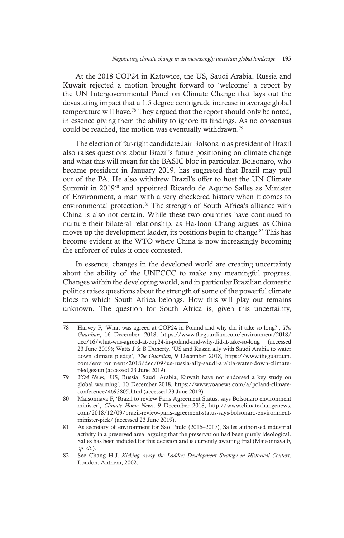At the 2018 COP24 in Katowice, the US, Saudi Arabia, Russia and Kuwait rejected a motion brought forward to 'welcome' a report by the UN Intergovernmental Panel on Climate Change that lays out the devastating impact that a 1.5 degree centrigrade increase in average global temperature will have.<sup>78</sup> They argued that the report should only be noted, in essence giving them the ability to ignore its findings. As no consensus could be reached, the motion was eventually withdrawn.<sup>79</sup>

The election of far-right candidate Jair Bolsonaro as president of Brazil also raises questions about Brazil's future positioning on climate change and what this will mean for the BASIC bloc in particular. Bolsonaro, who became president in January 2019, has suggested that Brazil may pull out of the PA. He also withdrew Brazil's offer to host the UN Climate Summit in 2019<sup>80</sup> and appointed Ricardo de Aquino Salles as Minister of Environment, a man with a very checkered history when it comes to environmental protection.<sup>81</sup> The strength of South Africa's alliance with China is also not certain. While these two countries have continued to nurture their bilateral relationship, as Ha-Joon Chang argues, as China moves up the development ladder, its positions begin to change.<sup>82</sup> This has become evident at the WTO where China is now increasingly becoming the enforcer of rules it once contested.

In essence, changes in the developed world are creating uncertainty about the ability of the UNFCCC to make any meaningful progress. Changes within the developing world, and in particular Brazilian domestic politics raises questions about the strength of some of the powerful climate blocs to which South Africa belongs. How this will play out remains unknown. The question for South Africa is, given this uncertainty,

<sup>78</sup> Harvey F, 'What was agreed at COP24 in Poland and why did it take so long?', *The Guardian*, 16 December, 2018, https://www.theguardian.com/environment/2018/ dec/16/what-was-agreed-at-cop24-in-poland-and-why-did-it-take-so-long (accessed 23 June 2019); Watts J & B Doherty, 'US and Russia ally with Saudi Arabia to water down climate pledge', *The Guardian*, 9 December 2018, https://www.theguardian. com/environment/2018/dec/09/us-russia-ally-saudi-arabia-water-down-climatepledges-un (accessed 23 June 2019).

<sup>79</sup> *VOA News*, 'US, Russia, Saudi Arabia, Kuwait have not endorsed a key study on global warming', 10 December 2018, https://www.voanews.com/a/poland-climateconference/4693805.html (accessed 23 June 2019).

<sup>80</sup> Maisonnava F, 'Brazil to review Paris Agreement Status, says Bolsonaro environment minister', *Climate Home News*, 9 December 2018, http://www.climatechangenews. com/2018/12/09/brazil-review-paris-agreement-status-says-bolsonaro-environmentminister-pick/ (accessed 23 June 2019).

<sup>81</sup> As secretary of environment for Sao Paulo (2016–2017), Salles authorised industrial activity in a preserved area, arguing that the preservation had been purely ideological. Salles has been indicted for this decision and is currently awaiting trial (Maisonnava F, *op. cit*.).

<sup>82</sup> See Chang H-J, *Kicking Away the Ladder: Development Strategy in Historical Context*. London: Anthem, 2002.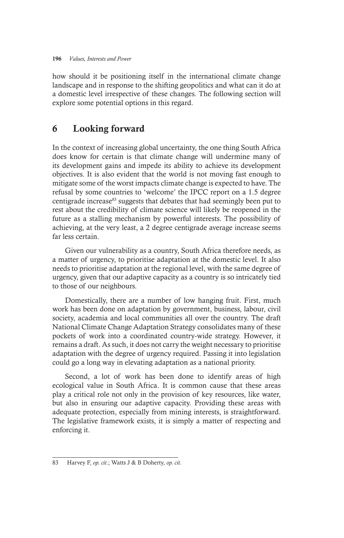how should it be positioning itself in the international climate change landscape and in response to the shifting geopolitics and what can it do at a domestic level irrespective of these changes. The following section will explore some potential options in this regard.

## 6 Looking forward

In the context of increasing global uncertainty, the one thing South Africa does know for certain is that climate change will undermine many of its development gains and impede its ability to achieve its development objectives. It is also evident that the world is not moving fast enough to mitigate some of the worst impacts climate change is expected to have. The refusal by some countries to 'welcome' the IPCC report on a 1.5 degree centigrade increase<sup>83</sup> suggests that debates that had seemingly been put to rest about the credibility of climate science will likely be reopened in the future as a stalling mechanism by powerful interests. The possibility of achieving, at the very least, a 2 degree centigrade average increase seems far less certain.

Given our vulnerability as a country, South Africa therefore needs, as a matter of urgency, to prioritise adaptation at the domestic level. It also needs to prioritise adaptation at the regional level, with the same degree of urgency, given that our adaptive capacity as a country is so intricately tied to those of our neighbours.

Domestically, there are a number of low hanging fruit. First, much work has been done on adaptation by government, business, labour, civil society, academia and local communities all over the country. The draft National Climate Change Adaptation Strategy consolidates many of these pockets of work into a coordinated country-wide strategy. However, it remains a draft. As such, it does not carry the weight necessary to prioritise adaptation with the degree of urgency required. Passing it into legislation could go a long way in elevating adaptation as a national priority.

Second, a lot of work has been done to identify areas of high ecological value in South Africa. It is common cause that these areas play a critical role not only in the provision of key resources, like water, but also in ensuring our adaptive capacity. Providing these areas with adequate protection, especially from mining interests, is straightforward. The legislative framework exists, it is simply a matter of respecting and enforcing it.

<sup>83</sup> Harvey F, *op. cit*.; Watts J & B Doherty, *op. cit*.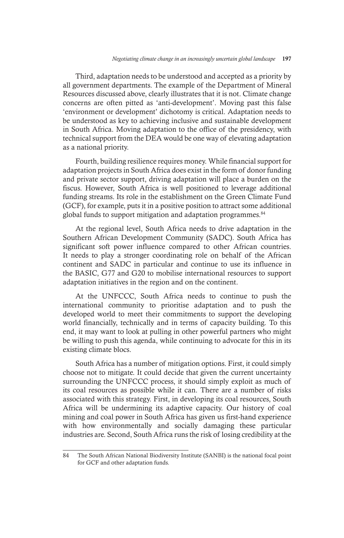Third, adaptation needs to be understood and accepted as a priority by all government departments. The example of the Department of Mineral Resources discussed above, clearly illustrates that it is not. Climate change concerns are often pitted as 'anti-development'. Moving past this false 'environment or development' dichotomy is critical. Adaptation needs to be understood as key to achieving inclusive and sustainable development in South Africa. Moving adaptation to the office of the presidency, with technical support from the DEA would be one way of elevating adaptation as a national priority.

Fourth, building resilience requires money. While financial support for adaptation projects in South Africa does exist in the form of donor funding and private sector support, driving adaptation will place a burden on the fiscus. However, South Africa is well positioned to leverage additional funding streams. Its role in the establishment on the Green Climate Fund (GCF), for example, puts it in a positive position to attract some additional global funds to support mitigation and adaptation programmes.<sup>84</sup>

At the regional level, South Africa needs to drive adaptation in the Southern African Development Community (SADC). South Africa has significant soft power influence compared to other African countries. It needs to play a stronger coordinating role on behalf of the African continent and SADC in particular and continue to use its influence in the BASIC, G77 and G20 to mobilise international resources to support adaptation initiatives in the region and on the continent.

At the UNFCCC, South Africa needs to continue to push the international community to prioritise adaptation and to push the developed world to meet their commitments to support the developing world financially, technically and in terms of capacity building. To this end, it may want to look at pulling in other powerful partners who might be willing to push this agenda, while continuing to advocate for this in its existing climate blocs.

South Africa has a number of mitigation options. First, it could simply choose not to mitigate. It could decide that given the current uncertainty surrounding the UNFCCC process, it should simply exploit as much of its coal resources as possible while it can. There are a number of risks associated with this strategy. First, in developing its coal resources, South Africa will be undermining its adaptive capacity. Our history of coal mining and coal power in South Africa has given us first-hand experience with how environmentally and socially damaging these particular industries are. Second, South Africa runs the risk of losing credibility at the

<sup>84</sup> The South African National Biodiversity Institute (SANBI) is the national focal point for GCF and other adaptation funds.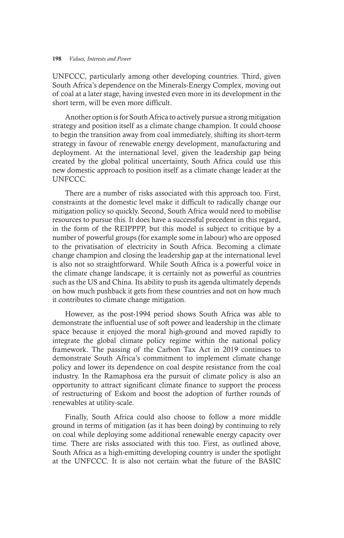UNFCCC, particularly among other developing countries. Third, given South Africa's dependence on the Minerals-Energy Complex, moving out of coal at a later stage, having invested even more in its development in the short term, will be even more difficult.

Another option is for South Africa to actively pursue a strong mitigation strategy and position itself as a climate change champion. It could choose to begin the transition away from coal immediately, shifting its short-term strategy in favour of renewable energy development, manufacturing and deployment. At the international level, given the leadership gap being created by the global political uncertainty, South Africa could use this new domestic approach to position itself as a climate change leader at the UNFCCC.

There are a number of risks associated with this approach too. First, constraints at the domestic level make it difficult to radically change our mitigation policy so quickly. Second, South Africa would need to mobilise resources to pursue this. It does have a successful precedent in this regard, in the form of the REIPPPP, but this model is subject to critique by a number of powerful groups (for example some in labour) who are opposed to the privatisation of electricity in South Africa. Becoming a climate change champion and closing the leadership gap at the international level is also not so straightforward. While South Africa is a powerful voice in the climate change landscape, it is certainly not as powerful as countries such as the US and China. Its ability to push its agenda ultimately depends on how much pushback it gets from these countries and not on how much it contributes to climate change mitigation.

However, as the post-1994 period shows South Africa was able to demonstrate the influential use of soft power and leadership in the climate space because it enjoyed the moral high-ground and moved rapidly to integrate the global climate policy regime within the national policy framework. The passing of the Carbon Tax Act in 2019 continues to demonstrate South Africa's commitment to implement climate change policy and lower its dependence on coal despite resistance from the coal industry. In the Ramaphosa era the pursuit of climate policy is also an opportunity to attract significant climate finance to support the process of restructuring of Eskom and boost the adoption of further rounds of renewables at utility-scale.

Finally, South Africa could also choose to follow a more middle ground in terms of mitigation (as it has been doing) by continuing to rely on coal while deploying some additional renewable energy capacity over time. There are risks associated with this too. First, as outlined above, South Africa as a high-emitting developing country is under the spotlight at the UNFCCC. It is also not certain what the future of the BASIC